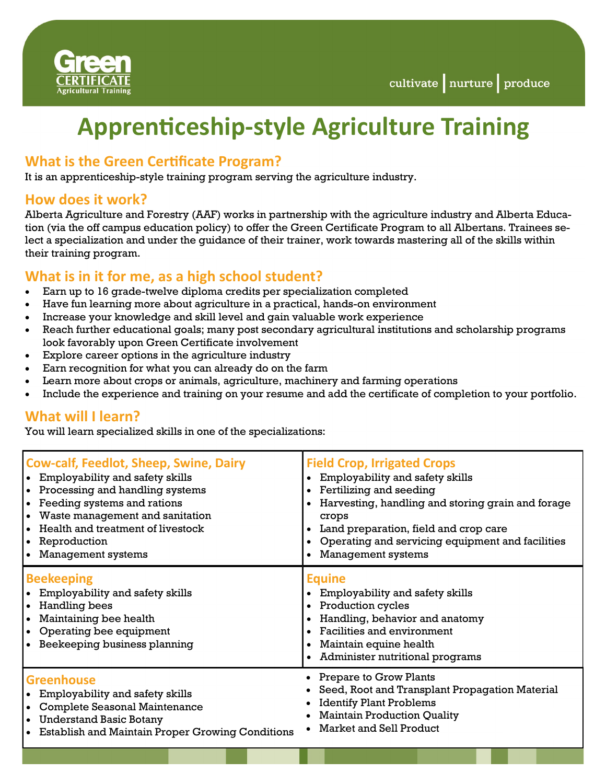

# **Apprenticeship-style Agriculture Training**

# **What is the Green Certificate Program?**

It is an apprenticeship-style training program serving the agriculture industry.

#### **How does it work?**

Alberta Agriculture and Forestry (AAF) works in partnership with the agriculture industry and Alberta Education (via the off campus education policy) to offer the Green Certificate Program to all Albertans. Trainees select a specialization and under the guidance of their trainer, work towards mastering all of the skills within their training program.

# **What is in it for me, as a high school student?**

- Earn up to 16 grade-twelve diploma credits per specialization completed
- Have fun learning more about agriculture in a practical, hands-on environment
- Increase your knowledge and skill level and gain valuable work experience
- Reach further educational goals; many post secondary agricultural institutions and scholarship programs look favorably upon Green Certificate involvement
- Explore career options in the agriculture industry
- Earn recognition for what you can already do on the farm
- Learn more about crops or animals, agriculture, machinery and farming operations
- Include the experience and training on your resume and add the certificate of completion to your portfolio.

# **What will I learn?**

You will learn specialized skills in one of the specializations:

| <b>Cow-calf, Feedlot, Sheep, Swine, Dairy</b><br>Employability and safety skills<br>• Processing and handling systems<br>Feeding systems and rations<br>Waste management and sanitation<br>Health and treatment of livestock<br>Reproduction<br>Management systems<br>$\bullet$ | <b>Field Crop, Irrigated Crops</b><br>• Employability and safety skills<br>• Fertilizing and seeding<br>• Harvesting, handling and storing grain and forage<br>crops<br>Land preparation, field and crop care<br>Operating and servicing equipment and facilities<br><b>Management systems</b> |
|---------------------------------------------------------------------------------------------------------------------------------------------------------------------------------------------------------------------------------------------------------------------------------|------------------------------------------------------------------------------------------------------------------------------------------------------------------------------------------------------------------------------------------------------------------------------------------------|
| <b>Beekeeping</b><br>Employability and safety skills<br>Handling bees<br>$\bullet$<br>Maintaining bee health<br>Operating bee equipment<br>Beekeeping business planning                                                                                                         | <b>Equine</b><br>• Employability and safety skills<br>• Production cycles<br>Handling, behavior and anatomy<br>• Facilities and environment<br>Maintain equine health<br>• Administer nutritional programs                                                                                     |
| <b>Greenhouse</b><br>• Employability and safety skills<br><b>Complete Seasonal Maintenance</b><br><b>Understand Basic Botany</b><br>$\bullet$<br><b>Establish and Maintain Proper Growing Conditions</b>                                                                        | • Prepare to Grow Plants<br>Seed, Root and Transplant Propagation Material<br><b>Identify Plant Problems</b><br><b>Maintain Production Quality</b><br>• Market and Sell Product                                                                                                                |